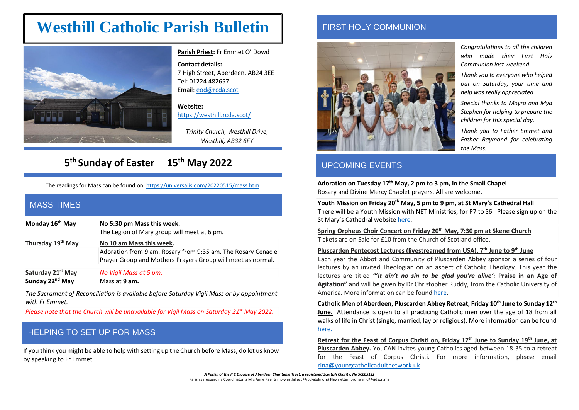# **Westhill Catholic Parish Bulletin**



**Parish Priest:** Fr Emmet O' Dowd

**Contact details:**  7 High Street, Aberdeen, AB24 3EE Tel: 01224 482657 Email[: eod@rcda.scot](mailto:eod@rcda.scot)

**Website:**  <https://westhill.rcda.scot/>

*Trinity Church, Westhill Drive, Westhill, AB32 6FY*

## **5 th Sunday of Easter 15th May 2022**

The readings for Mass can be found on: <https://universalis.com/20220515/mass.htm>

#### MASS TIMES

**Monday 16th May No 5:30 pm Mass this week.** The Legion of Mary group will meet at 6 pm.

**Thursday 19 th May No 10 am Mass this week.** Adoration from 9 am. Rosary from 9:35 am. The Rosary Cenacle Prayer Group and Mothers Prayers Group will meet as normal.

**Saturday 21st May** *No Vigil Mass at 5 pm.* **Sunday 22nd May** Mass at **9 am.**

*The Sacrament of Reconciliation is available before Saturday Vigil Mass or by appointment with Fr Emmet.*

*Please note that the Church will be unavailable for Vigil Mass on Saturday 21st May 2022.*

## HELPING TO SET UP FOR MASS

If you think you might be able to help with setting up the Church before Mass, do let us know by speaking to Fr Emmet.

#### FIRST HOLY COMMUNION



### UPCOMING EVENTS

**Adoration on Tuesday 17 th May, 2 pm to 3 pm, in the Small Chapel** Rosary and Divine Mercy Chaplet prayers. All are welcome.

#### **Youth Mission on Friday 20th May, 5 pm to 9 pm, at St Mary's Cathedral Hall**

There will be a Youth Mission with NET Ministries, for P7 to S6. Please sign up on the St Mary's Cathedral website [here.](https://stmaryscathedral.churchsuite.com/embed/events/fkg7rz7l)

**Spring Orpheus Choir Concert on Friday 20th May, 7:30 pm at Skene Church** Tickets are on Sale for £10 from the Church of Scotland office.

#### **Pluscarden Pentecost Lectures (livestreamed from USA), 7th June to 9th June**

Each year the Abbot and Community of Pluscarden Abbey sponsor a series of four lectures by an invited Theologian on an aspect of Catholic Theology. This year the lectures are titled **"'***It ain't no sin to be glad you're alive'***: Praise in an Age of Agitation"** and will be given by Dr Christopher Ruddy, from the Catholic University of America. More information can be foun[d here.](https://www.pluscardenabbey.org/newsandevents/2022/3/6/2022-pluscarden-pentecost-lectures)

**Catholic Men of Aberdeen, Pluscarden Abbey Retreat, Friday 10th June to Sunday 12th June.** Attendance is open to all practicing Catholic men over the age of 18 from all walks of life in Christ (single, married, lay or religious). More information can be found [here.](https://stmaryscathedral.churchsuite.com/events/mpovep5k)

**Retreat for the Feast of Corpus Christi on, Friday 17th June to Sunday 19th June, at Pluscarden Abbey.** YouCAN invites young Catholics aged between 18-35 to a retreat for the Feast of Corpus Christi. For more information, please email [rina@youngcatholicadultnetwork.uk](mailto:rina@youngcatholicadultnetwork.uk)

*A Parish of the R C Diocese of Aberdeen Charitable Trust, a registered Scottish Charity, No SC005122* Parish Safeguarding Coordinator is Mrs Anne Rae (trinitywesthillpsc@rcd-abdn.org) Newsletter: bronwyn.d@vidson.me *Congratulations to all the children who made their First Holy Communion last weekend.*

*Thank you to everyone who helped out on Saturday, your time and help was really appreciated.*

*Special thanks to Moyra and Mya Stephen for helping to prepare the children for this special day.*

*Thank you to Father Emmet and Father Raymond for celebrating the Mass.*